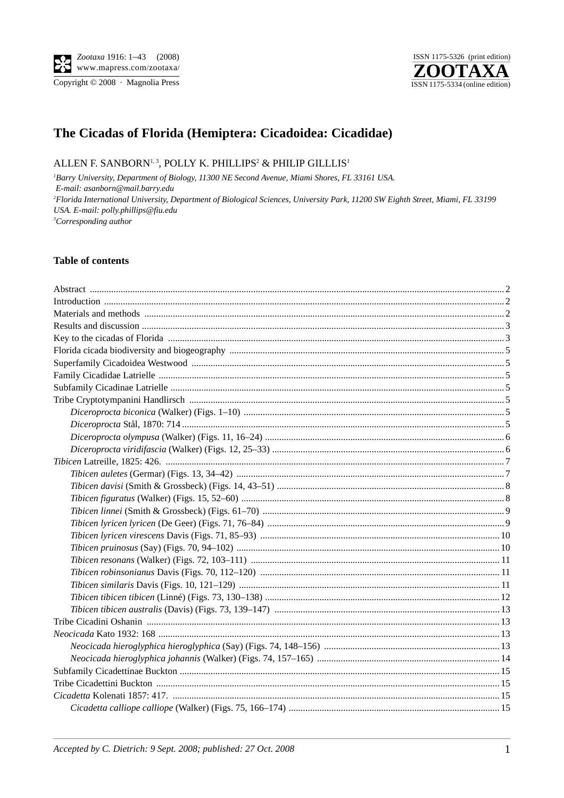Copyright © 2008 · Magnolia Press



# The Cicadas of Florida (Hemiptera: Cicadoidea: Cicadidae)

## ALLEN F. SANBORN<sup>1,3</sup>, POLLY K. PHILLIPS<sup>2</sup> & PHILIP GILLLIS<sup>1</sup>

<sup>1</sup>Barry University, Department of Biology, 11300 NE Second Avenue, Miami Shores, FL 33161 USA. E-mail: asanborn@mail.barry.edu <sup>2</sup>Florida International University, Department of Biological Sciences, University Park, 11200 SW Eighth Street, Miami, FL 33199 USA. E-mail: polly.phillips@fiu.edu  ${}^{3}Corresponding$  author

#### **Table of contents**